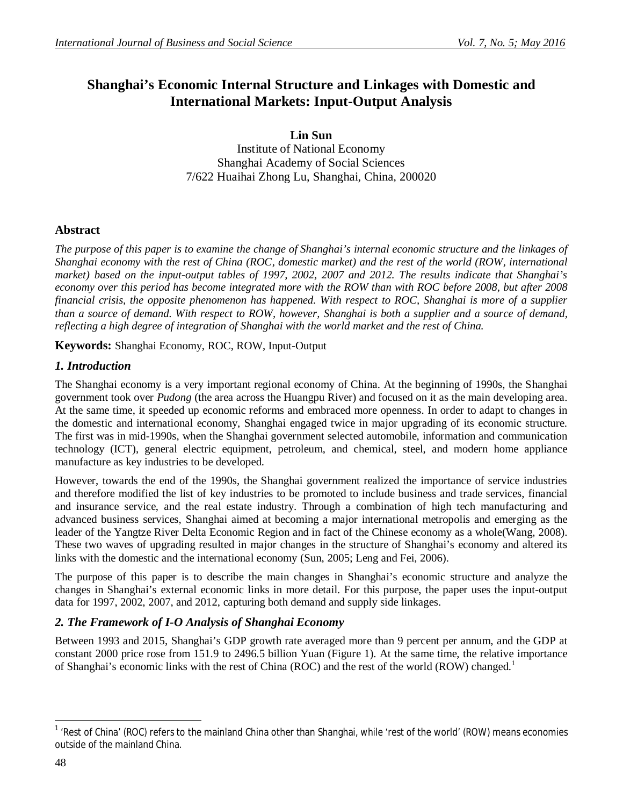# **Shanghai's Economic Internal Structure and Linkages with Domestic and International Markets: Input-Output Analysis**

**Lin Sun**

Institute of National Economy Shanghai Academy of Social Sciences 7/622 Huaihai Zhong Lu, Shanghai, China, 200020

### **Abstract**

*The purpose of this paper is to examine the change of Shanghai's internal economic structure and the linkages of Shanghai economy with the rest of China (ROC, domestic market) and the rest of the world (ROW, international market) based on the input-output tables of 1997, 2002, 2007 and 2012. The results indicate that Shanghai's economy over this period has become integrated more with the ROW than with ROC before 2008, but after 2008 financial crisis, the opposite phenomenon has happened. With respect to ROC, Shanghai is more of a supplier than a source of demand. With respect to ROW, however, Shanghai is both a supplier and a source of demand, reflecting a high degree of integration of Shanghai with the world market and the rest of China.*

**Keywords:** Shanghai Economy, ROC, ROW, Input-Output

## *1. Introduction*

The Shanghai economy is a very important regional economy of China. At the beginning of 1990s, the Shanghai government took over *Pudong* (the area across the Huangpu River) and focused on it as the main developing area. At the same time, it speeded up economic reforms and embraced more openness. In order to adapt to changes in the domestic and international economy, Shanghai engaged twice in major upgrading of its economic structure. The first was in mid-1990s, when the Shanghai government selected automobile, information and communication technology (ICT), general electric equipment, petroleum, and chemical, steel, and modern home appliance manufacture as key industries to be developed.

However, towards the end of the 1990s, the Shanghai government realized the importance of service industries and therefore modified the list of key industries to be promoted to include business and trade services, financial and insurance service, and the real estate industry. Through a combination of high tech manufacturing and advanced business services, Shanghai aimed at becoming a major international metropolis and emerging as the leader of the Yangtze River Delta Economic Region and in fact of the Chinese economy as a whole(Wang, 2008). These two waves of upgrading resulted in major changes in the structure of Shanghai's economy and altered its links with the domestic and the international economy (Sun, 2005; Leng and Fei, 2006).

The purpose of this paper is to describe the main changes in Shanghai's economic structure and analyze the changes in Shanghai's external economic links in more detail. For this purpose, the paper uses the input-output data for 1997, 2002, 2007, and 2012, capturing both demand and supply side linkages.

## *2. The Framework of I-O Analysis of Shanghai Economy*

Between 1993 and 2015, Shanghai's GDP growth rate averaged more than 9 percent per annum, and the GDP at constant 2000 price rose from 151.9 to 2496.5 billion Yuan (Figure 1). At the same time, the relative importance of Shanghai's economic links with the rest of China (ROC) and the rest of the world (ROW) changed.<sup>1</sup>

 $\overline{\phantom{a}}$ <sup>1</sup> 'Rest of China' (ROC) refers to the mainland China other than Shanghai, while 'rest of the world' (ROW) means economies outside of the mainland China.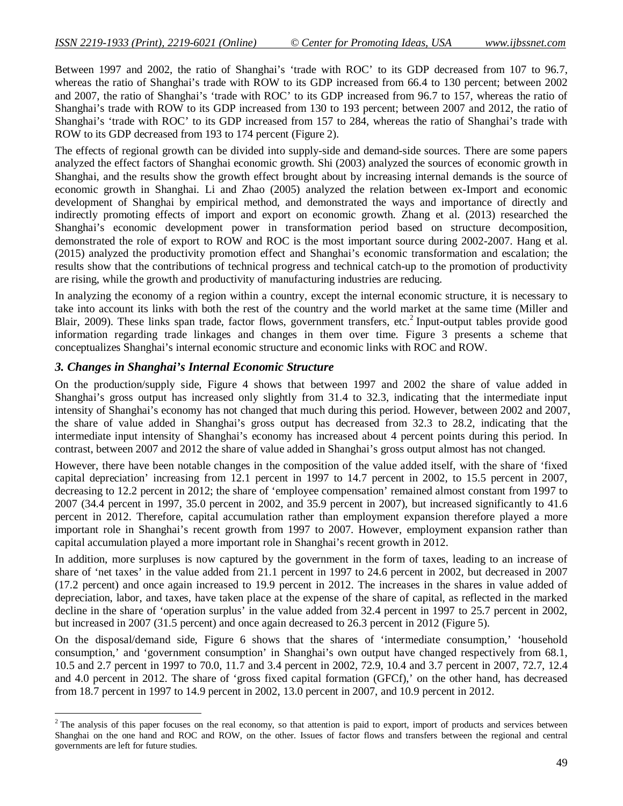Between 1997 and 2002, the ratio of Shanghai's 'trade with ROC' to its GDP decreased from 107 to 96.7, whereas the ratio of Shanghai's trade with ROW to its GDP increased from 66.4 to 130 percent; between 2002 and 2007, the ratio of Shanghai's 'trade with ROC' to its GDP increased from 96.7 to 157, whereas the ratio of Shanghai's trade with ROW to its GDP increased from 130 to 193 percent; between 2007 and 2012, the ratio of Shanghai's 'trade with ROC' to its GDP increased from 157 to 284, whereas the ratio of Shanghai's trade with ROW to its GDP decreased from 193 to 174 percent (Figure 2).

The effects of regional growth can be divided into supply-side and demand-side sources. There are some papers analyzed the effect factors of Shanghai economic growth. Shi (2003) analyzed the sources of economic growth in Shanghai, and the results show the growth effect brought about by increasing internal demands is the source of economic growth in Shanghai. Li and Zhao (2005) analyzed the relation between ex-Import and economic development of Shanghai by empirical method, and demonstrated the ways and importance of directly and indirectly promoting effects of import and export on economic growth. Zhang et al. (2013) researched the Shanghai's economic development power in transformation period based on structure decomposition, demonstrated the role of export to ROW and ROC is the most important source during 2002-2007. Hang et al. (2015) analyzed the productivity promotion effect and Shanghai's economic transformation and escalation; the results show that the contributions of technical progress and technical catch-up to the promotion of productivity are rising, while the growth and productivity of manufacturing industries are reducing.

In analyzing the economy of a region within a country, except the internal economic structure, it is necessary to take into account its links with both the rest of the country and the world market at the same time (Miller and Blair, 2009). These links span trade, factor flows, government transfers, etc.<sup>2</sup> Input-output tables provide good information regarding trade linkages and changes in them over time. Figure 3 presents a scheme that conceptualizes Shanghai's internal economic structure and economic links with ROC and ROW.

#### *3. Changes in Shanghai's Internal Economic Structure*

 $\overline{a}$ 

On the production/supply side, Figure 4 shows that between 1997 and 2002 the share of value added in Shanghai's gross output has increased only slightly from 31.4 to 32.3, indicating that the intermediate input intensity of Shanghai's economy has not changed that much during this period. However, between 2002 and 2007, the share of value added in Shanghai's gross output has decreased from 32.3 to 28.2, indicating that the intermediate input intensity of Shanghai's economy has increased about 4 percent points during this period. In contrast, between 2007 and 2012 the share of value added in Shanghai's gross output almost has not changed.

However, there have been notable changes in the composition of the value added itself, with the share of 'fixed capital depreciation' increasing from 12.1 percent in 1997 to 14.7 percent in 2002, to 15.5 percent in 2007, decreasing to 12.2 percent in 2012; the share of 'employee compensation' remained almost constant from 1997 to 2007 (34.4 percent in 1997, 35.0 percent in 2002, and 35.9 percent in 2007), but increased significantly to 41.6 percent in 2012. Therefore, capital accumulation rather than employment expansion therefore played a more important role in Shanghai's recent growth from 1997 to 2007. However, employment expansion rather than capital accumulation played a more important role in Shanghai's recent growth in 2012.

In addition, more surpluses is now captured by the government in the form of taxes, leading to an increase of share of 'net taxes' in the value added from 21.1 percent in 1997 to 24.6 percent in 2002, but decreased in 2007 (17.2 percent) and once again increased to 19.9 percent in 2012. The increases in the shares in value added of depreciation, labor, and taxes, have taken place at the expense of the share of capital, as reflected in the marked decline in the share of 'operation surplus' in the value added from 32.4 percent in 1997 to 25.7 percent in 2002, but increased in 2007 (31.5 percent) and once again decreased to 26.3 percent in 2012 (Figure 5).

On the disposal/demand side, Figure 6 shows that the shares of 'intermediate consumption,' 'household consumption,' and 'government consumption' in Shanghai's own output have changed respectively from 68.1, 10.5 and 2.7 percent in 1997 to 70.0, 11.7 and 3.4 percent in 2002, 72.9, 10.4 and 3.7 percent in 2007, 72.7, 12.4 and 4.0 percent in 2012. The share of 'gross fixed capital formation (GFCf),' on the other hand, has decreased from 18.7 percent in 1997 to 14.9 percent in 2002, 13.0 percent in 2007, and 10.9 percent in 2012.

<sup>&</sup>lt;sup>2</sup> The analysis of this paper focuses on the real economy, so that attention is paid to export, import of products and services between Shanghai on the one hand and ROC and ROW, on the other. Issues of factor flows and transfers between the regional and central governments are left for future studies.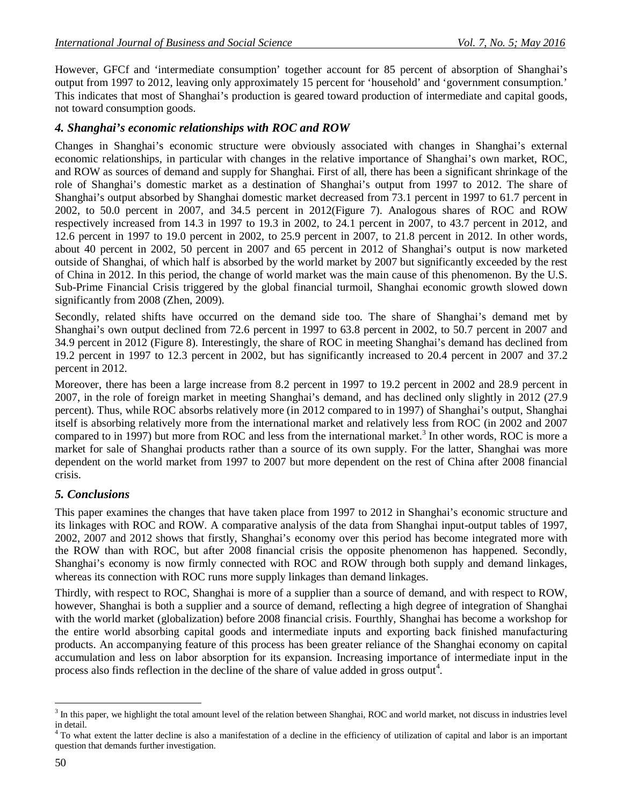However, GFCf and 'intermediate consumption' together account for 85 percent of absorption of Shanghai's output from 1997 to 2012, leaving only approximately 15 percent for 'household' and 'government consumption.' This indicates that most of Shanghai's production is geared toward production of intermediate and capital goods, not toward consumption goods.

#### *4. Shanghai's economic relationships with ROC and ROW*

Changes in Shanghai's economic structure were obviously associated with changes in Shanghai's external economic relationships, in particular with changes in the relative importance of Shanghai's own market, ROC, and ROW as sources of demand and supply for Shanghai. First of all, there has been a significant shrinkage of the role of Shanghai's domestic market as a destination of Shanghai's output from 1997 to 2012. The share of Shanghai's output absorbed by Shanghai domestic market decreased from 73.1 percent in 1997 to 61.7 percent in 2002, to 50.0 percent in 2007, and 34.5 percent in 2012(Figure 7). Analogous shares of ROC and ROW respectively increased from 14.3 in 1997 to 19.3 in 2002, to 24.1 percent in 2007, to 43.7 percent in 2012, and 12.6 percent in 1997 to 19.0 percent in 2002, to 25.9 percent in 2007, to 21.8 percent in 2012. In other words, about 40 percent in 2002, 50 percent in 2007 and 65 percent in 2012 of Shanghai's output is now marketed outside of Shanghai, of which half is absorbed by the world market by 2007 but significantly exceeded by the rest of China in 2012. In this period, the change of world market was the main cause of this phenomenon. By the U.S. Sub-Prime Financial Crisis triggered by the global financial turmoil, Shanghai economic growth slowed down significantly from 2008 (Zhen, 2009).

Secondly, related shifts have occurred on the demand side too. The share of Shanghai's demand met by Shanghai's own output declined from 72.6 percent in 1997 to 63.8 percent in 2002, to 50.7 percent in 2007 and 34.9 percent in 2012 (Figure 8). Interestingly, the share of ROC in meeting Shanghai's demand has declined from 19.2 percent in 1997 to 12.3 percent in 2002, but has significantly increased to 20.4 percent in 2007 and 37.2 percent in 2012.

Moreover, there has been a large increase from 8.2 percent in 1997 to 19.2 percent in 2002 and 28.9 percent in 2007, in the role of foreign market in meeting Shanghai's demand, and has declined only slightly in 2012 (27.9 percent). Thus, while ROC absorbs relatively more (in 2012 compared to in 1997) of Shanghai's output, Shanghai itself is absorbing relatively more from the international market and relatively less from ROC (in 2002 and 2007 compared to in 1997) but more from ROC and less from the international market.<sup>3</sup> In other words, ROC is more a market for sale of Shanghai products rather than a source of its own supply. For the latter, Shanghai was more dependent on the world market from 1997 to 2007 but more dependent on the rest of China after 2008 financial crisis.

#### *5. Conclusions*

This paper examines the changes that have taken place from 1997 to 2012 in Shanghai's economic structure and its linkages with ROC and ROW. A comparative analysis of the data from Shanghai input-output tables of 1997, 2002, 2007 and 2012 shows that firstly, Shanghai's economy over this period has become integrated more with the ROW than with ROC, but after 2008 financial crisis the opposite phenomenon has happened. Secondly, Shanghai's economy is now firmly connected with ROC and ROW through both supply and demand linkages, whereas its connection with ROC runs more supply linkages than demand linkages.

Thirdly, with respect to ROC, Shanghai is more of a supplier than a source of demand, and with respect to ROW, however, Shanghai is both a supplier and a source of demand, reflecting a high degree of integration of Shanghai with the world market (globalization) before 2008 financial crisis. Fourthly, Shanghai has become a workshop for the entire world absorbing capital goods and intermediate inputs and exporting back finished manufacturing products. An accompanying feature of this process has been greater reliance of the Shanghai economy on capital accumulation and less on labor absorption for its expansion. Increasing importance of intermediate input in the process also finds reflection in the decline of the share of value added in gross output<sup>4</sup>.

 $\overline{a}$  $3$  In this paper, we highlight the total amount level of the relation between Shanghai, ROC and world market, not discuss in industries level in detail.

<sup>&</sup>lt;sup>4</sup> To what extent the latter decline is also a manifestation of a decline in the efficiency of utilization of capital and labor is an important question that demands further investigation.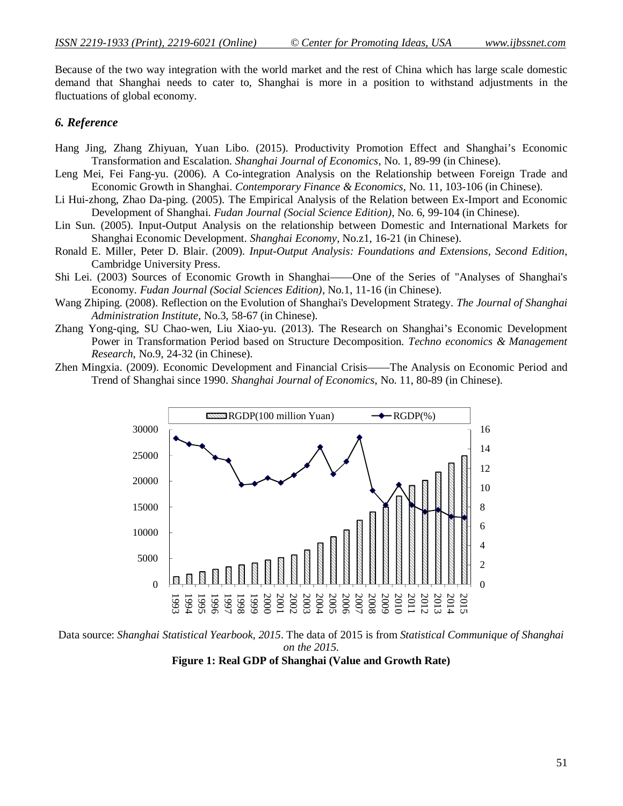Because of the two way integration with the world market and the rest of China which has large scale domestic demand that Shanghai needs to cater to, Shanghai is more in a position to withstand adjustments in the fluctuations of global economy.

#### *6. Reference*

- Hang Jing, Zhang Zhiyuan, Yuan Libo. (2015). Productivity Promotion Effect and Shanghai's Economic Transformation and Escalation. *Shanghai Journal of Economics*, No. 1, 89-99 (in Chinese).
- Leng Mei, Fei Fang-yu. (2006). A Co-integration Analysis on the Relationship between Foreign Trade and Economic Growth in Shanghai. *Contemporary Finance & Economics*, No. 11, 103-106 (in Chinese).
- Li Hui-zhong, Zhao Da-ping. (2005). The Empirical Analysis of the Relation between Ex-Import and Economic Development of Shanghai. *Fudan Journal (Social Science Edition)*, No. 6, 99-104 (in Chinese).
- Lin Sun. (2005). Input-Output Analysis on the relationship between Domestic and International Markets for Shanghai Economic Development. *Shanghai Economy*, No.z1, 16-21 (in Chinese).
- Ronald E. Miller, Peter D. Blair. (2009). *Input-Output Analysis: Foundations and Extensions, Second Edition*, Cambridge University Press.
- Shi Lei. (2003) Sources of Economic Growth in Shanghai——One of the Series of "Analyses of Shanghai's Economy. *Fudan Journal (Social Sciences Edition)*, No.1, 11-16 (in Chinese).
- Wang Zhiping. (2008). Reflection on the Evolution of Shanghai's Development Strategy. *The Journal of Shanghai Administration Institute*, No.3, 58-67 (in Chinese).
- Zhang Yong-qing, SU Chao-wen, Liu Xiao-yu. (2013). The Research on Shanghai's Economic Development Power in Transformation Period based on Structure Decomposition. *Techno economics & Management Research*, No.9, 24-32 (in Chinese).
- Zhen Mingxia. (2009). Economic Development and Financial Crisis——The Analysis on Economic Period and Trend of Shanghai since 1990. *Shanghai Journal of Economics*, No. 11, 80-89 (in Chinese).



Data source: *Shanghai Statistical Yearbook, 2015*. The data of 2015 is from *Statistical Communique of Shanghai on the 2015.* **Figure 1: Real GDP of Shanghai (Value and Growth Rate)**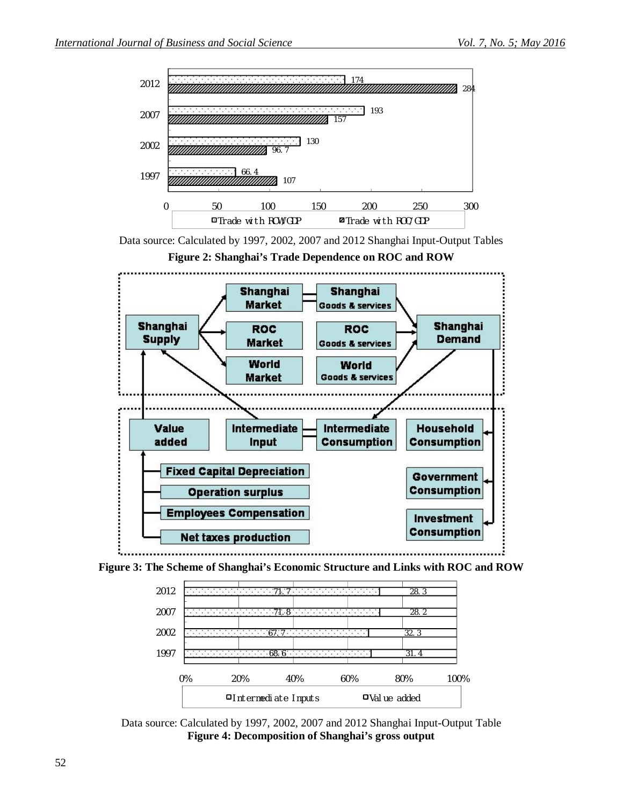

Data source: Calculated by 1997, 2002, 2007 and 2012 Shanghai Input-Output Tables



**Figure 2: Shanghai's Trade Dependence on ROC and ROW**